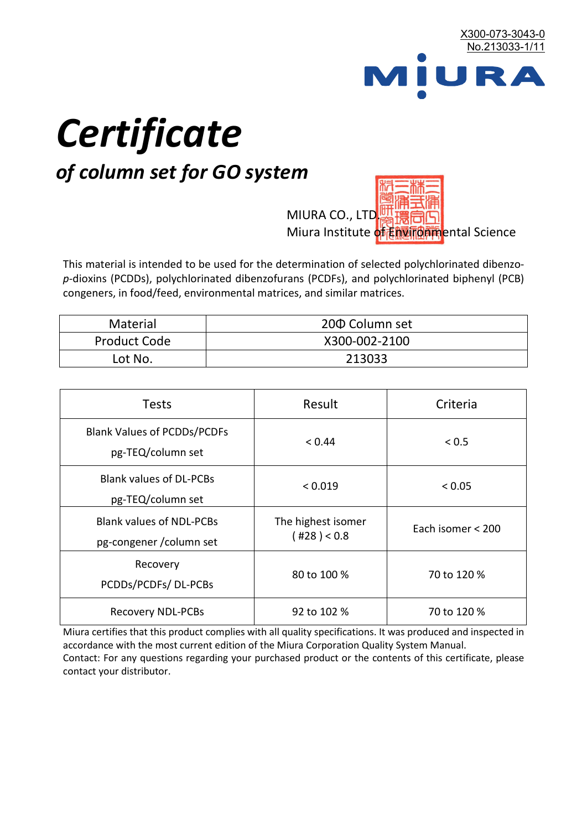

# *Certificate*

## *of column set for GO system*

MIURA CO., LTD. Miura Institute of 正版而解ental Science

This material is intended to be used for the determination of selected polychlorinated dibenzo*p*-dioxins (PCDDs), polychlorinated dibenzofurans (PCDFs), and polychlorinated biphenyl (PCB) congeners, in food/feed, environmental matrices, and similar matrices.

| <b>Material</b>     | 200 Column set |  |
|---------------------|----------------|--|
| <b>Product Code</b> | X300-002-2100  |  |
| Lot No.             | 213033         |  |

| <b>Tests</b>                                                | Result                            | Criteria          |
|-------------------------------------------------------------|-----------------------------------|-------------------|
| <b>Blank Values of PCDDs/PCDFs</b><br>pg-TEQ/column set     | < 0.44                            | < 0.5             |
| <b>Blank values of DL-PCBs</b><br>pg-TEQ/column set         | < 0.019                           | < 0.05            |
| <b>Blank values of NDL-PCBs</b><br>pg-congener / column set | The highest isomer<br>(428) < 0.8 | Each isomer < 200 |
| Recovery<br>PCDDs/PCDFs/DL-PCBs                             | 80 to 100 %                       | 70 to 120 %       |
| <b>Recovery NDL-PCBs</b>                                    | 92 to 102 %                       | 70 to 120 %       |

Miura certifies that this product complies with all quality specifications. It was produced and inspected in accordance with the most current edition of the Miura Corporation Quality System Manual. Contact: For any questions regarding your purchased product or the contents of this certificate, please contact your distributor.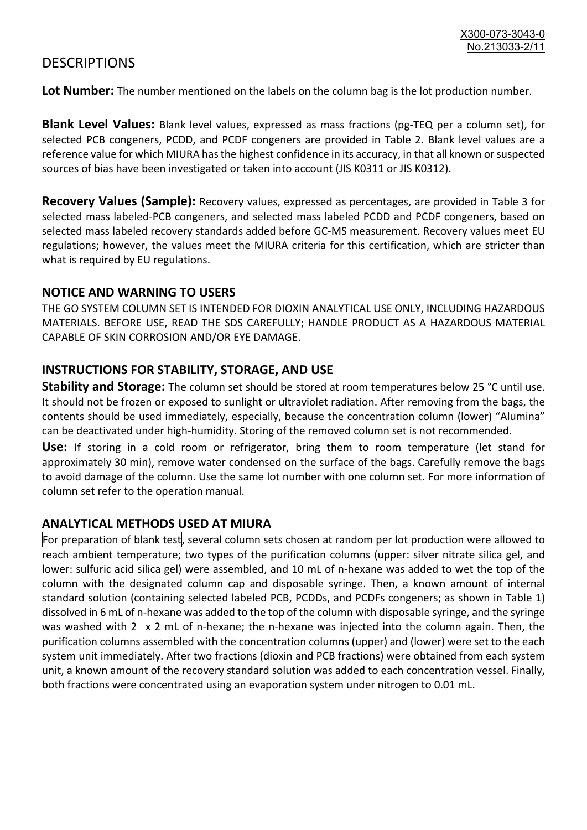### **DESCRIPTIONS**

**Lot Number:** The number mentioned on the labels on the column bag is the lot production number.

**Blank Level Values:** Blank level values, expressed as mass fractions (pg-TEQ per a column set), for selected PCB congeners, PCDD, and PCDF congeners are provided in Table 2. Blank level values are a reference value for which MIURA has the highest confidence in its accuracy, in that all known or suspected sources of bias have been investigated or taken into account (JIS K0311 or JIS K0312).

**Recovery Values (Sample):** Recovery values, expressed as percentages, are provided in Table 3 for selected mass labeled-PCB congeners, and selected mass labeled PCDD and PCDF congeners, based on selected mass labeled recovery standards added before GC-MS measurement. Recovery values meet EU regulations; however, the values meet the MIURA criteria for this certification, which are stricter than what is required by EU regulations.

#### **NOTICE AND WARNING TO USERS**

THE GO SYSTEM COLUMN SET IS INTENDED FOR DIOXIN ANALYTICAL USE ONLY, INCLUDING HAZARDOUS MATERIALS. BEFORE USE, READ THE SDS CAREFULLY; HANDLE PRODUCT AS A HAZARDOUS MATERIAL CAPABLE OF SKIN CORROSION AND/OR EYE DAMAGE.

#### **INSTRUCTIONS FOR STABILITY, STORAGE, AND USE**

**Stability and Storage:** The column set should be stored at room temperatures below 25 °C until use. It should not be frozen or exposed to sunlight or ultraviolet radiation. After removing from the bags, the contents should be used immediately, especially, because the concentration column (lower) "Alumina" can be deactivated under high-humidity. Storing of the removed column set is not recommended.

**Use:** If storing in a cold room or refrigerator, bring them to room temperature (let stand for approximately 30 min), remove water condensed on the surface of the bags. Carefully remove the bags to avoid damage of the column. Use the same lot number with one column set. For more information of column set refer to the operation manual.

#### **ANALYTICAL METHODS USED AT MIURA**

For preparation of blank test, several column sets chosen at random per lot production were allowed to reach ambient temperature; two types of the purification columns (upper: silver nitrate silica gel, and lower: sulfuric acid silica gel) were assembled, and 10 mL of n-hexane was added to wet the top of the column with the designated column cap and disposable syringe. Then, a known amount of internal standard solution (containing selected labeled PCB, PCDDs, and PCDFs congeners; as shown in Table 1) dissolved in 6 mL of n-hexane was added to the top of the column with disposable syringe, and the syringe was washed with 2 x 2 mL of n-hexane; the n-hexane was injected into the column again. Then, the purification columns assembled with the concentration columns (upper) and (lower) were set to the each system unit immediately. After two fractions (dioxin and PCB fractions) were obtained from each system unit, a known amount of the recovery standard solution was added to each concentration vessel. Finally, both fractions were concentrated using an evaporation system under nitrogen to 0.01 mL.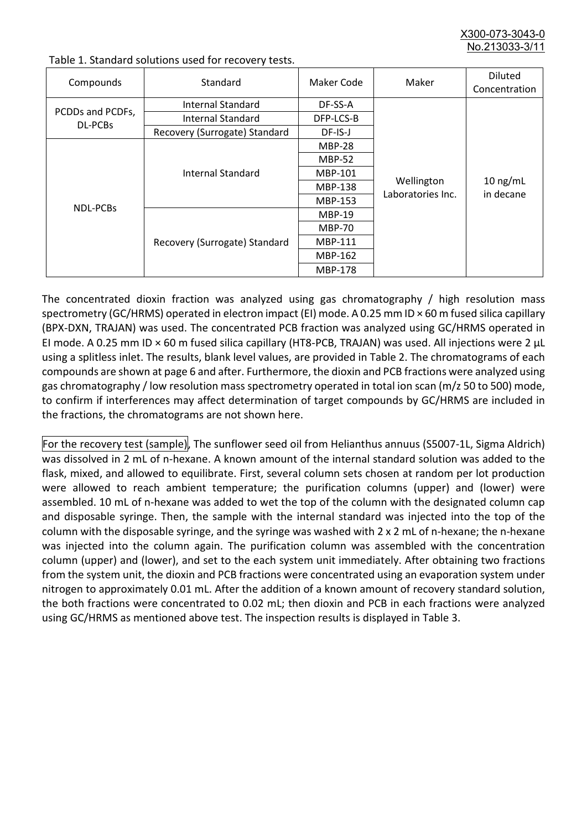X300-073-3043-0 No.213033-3/

| Compounds                   | Standard                      | Maker Code     | Maker                           | <b>Diluted</b><br>Concentration |
|-----------------------------|-------------------------------|----------------|---------------------------------|---------------------------------|
|                             | Internal Standard             | DF-SS-A        |                                 | $10$ ng/mL<br>in decane         |
| PCDDs and PCDFs,<br>DL-PCBs | <b>Internal Standard</b>      | DFP-LCS-B      |                                 |                                 |
|                             | Recovery (Surrogate) Standard | DF-IS-J        | Wellington<br>Laboratories Inc. |                                 |
| <b>NDL-PCBs</b>             |                               | <b>MBP-28</b>  |                                 |                                 |
|                             | Internal Standard             | <b>MBP-52</b>  |                                 |                                 |
|                             |                               | MBP-101        |                                 |                                 |
|                             |                               | <b>MBP-138</b> |                                 |                                 |
|                             |                               | MBP-153        |                                 |                                 |
|                             | Recovery (Surrogate) Standard | <b>MBP-19</b>  |                                 |                                 |
|                             |                               | <b>MBP-70</b>  |                                 |                                 |
|                             |                               | MBP-111        |                                 |                                 |
|                             |                               | MBP-162        |                                 |                                 |
|                             |                               | <b>MBP-178</b> |                                 |                                 |

Table 1. Standard solutions used for recovery tests.

The concentrated dioxin fraction was analyzed using gas chromatography / high resolution mass spectrometry (GC/HRMS) operated in electron impact (EI) mode. A 0.25 mm ID × 60 m fused silica capillary (BPX-DXN, TRAJAN) was used. The concentrated PCB fraction was analyzed using GC/HRMS operated in EI mode. A 0.25 mm ID × 60 m fused silica capillary (HT8-PCB, TRAJAN) was used. All injections were 2 μL using a splitless inlet. The results, blank level values, are provided in Table 2. The chromatograms of each compounds are shown at page 6 and after. Furthermore, the dioxin and PCB fractions were analyzed using gas chromatography / low resolution mass spectrometry operated in total ion scan (m/z 50 to 500) mode, to confirm if interferences may affect determination of target compounds by GC/HRMS are included in the fractions, the chromatograms are not shown here.

For the recovery test (sample), The sunflower seed oil from Helianthus annuus (S5007-1L, Sigma Aldrich) was dissolved in 2 mL of n-hexane. A known amount of the internal standard solution was added to the flask, mixed, and allowed to equilibrate. First, several column sets chosen at random per lot production were allowed to reach ambient temperature; the purification columns (upper) and (lower) were assembled. 10 mL of n-hexane was added to wet the top of the column with the designated column cap and disposable syringe. Then, the sample with the internal standard was injected into the top of the column with the disposable syringe, and the syringe was washed with 2 x 2 mL of n-hexane; the n-hexane was injected into the column again. The purification column was assembled with the concentration column (upper) and (lower), and set to the each system unit immediately. After obtaining two fractions from the system unit, the dioxin and PCB fractions were concentrated using an evaporation system under nitrogen to approximately 0.01 mL. After the addition of a known amount of recovery standard solution, the both fractions were concentrated to 0.02 mL; then dioxin and PCB in each fractions were analyzed using GC/HRMS as mentioned above test. The inspection results is displayed in Table 3.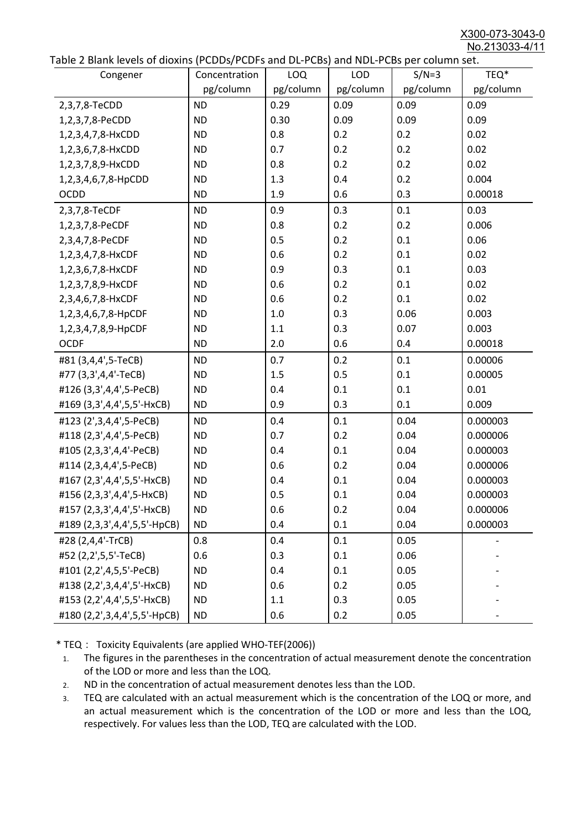X300-073-3043-0 No.213033-4/11

|  | Table 2 Blank levels of dioxins (PCDDs/PCDFs and DL-PCBs) and NDL-PCBs per column set. |
|--|----------------------------------------------------------------------------------------|
|--|----------------------------------------------------------------------------------------|

| abic 2 Diarik icveis of dioxins (I CDD3/TCDTs and DET CD3/ and NDET CD3 pcr column sett. |               |           |            |           |           |
|------------------------------------------------------------------------------------------|---------------|-----------|------------|-----------|-----------|
| Congener                                                                                 | Concentration | LOQ       | <b>LOD</b> | $S/N=3$   | TEQ*      |
|                                                                                          | pg/column     | pg/column | pg/column  | pg/column | pg/column |
| 2,3,7,8-TeCDD                                                                            | <b>ND</b>     | 0.29      | 0.09       | 0.09      | 0.09      |
| 1,2,3,7,8-PeCDD                                                                          | <b>ND</b>     | 0.30      | 0.09       | 0.09      | 0.09      |
| 1,2,3,4,7,8-HxCDD                                                                        | <b>ND</b>     | 0.8       | 0.2        | 0.2       | 0.02      |
| 1,2,3,6,7,8-HxCDD                                                                        | <b>ND</b>     | 0.7       | 0.2        | 0.2       | 0.02      |
| 1,2,3,7,8,9-HxCDD                                                                        | <b>ND</b>     | 0.8       | 0.2        | 0.2       | 0.02      |
| 1,2,3,4,6,7,8-HpCDD                                                                      | <b>ND</b>     | 1.3       | 0.4        | 0.2       | 0.004     |
| <b>OCDD</b>                                                                              | <b>ND</b>     | 1.9       | 0.6        | 0.3       | 0.00018   |
| 2,3,7,8-TeCDF                                                                            | <b>ND</b>     | 0.9       | 0.3        | 0.1       | 0.03      |
| 1,2,3,7,8-PeCDF                                                                          | <b>ND</b>     | 0.8       | 0.2        | 0.2       | 0.006     |
| 2,3,4,7,8-PeCDF                                                                          | <b>ND</b>     | 0.5       | 0.2        | 0.1       | 0.06      |
| 1,2,3,4,7,8-HxCDF                                                                        | <b>ND</b>     | 0.6       | 0.2        | 0.1       | 0.02      |
| 1,2,3,6,7,8-HxCDF                                                                        | <b>ND</b>     | 0.9       | 0.3        | 0.1       | 0.03      |
| 1,2,3,7,8,9-HxCDF                                                                        | <b>ND</b>     | 0.6       | 0.2        | 0.1       | 0.02      |
| 2,3,4,6,7,8-HxCDF                                                                        | <b>ND</b>     | 0.6       | 0.2        | 0.1       | 0.02      |
| 1,2,3,4,6,7,8-HpCDF                                                                      | <b>ND</b>     | 1.0       | 0.3        | 0.06      | 0.003     |
| 1,2,3,4,7,8,9-HpCDF                                                                      | <b>ND</b>     | 1.1       | 0.3        | 0.07      | 0.003     |
| <b>OCDF</b>                                                                              | <b>ND</b>     | 2.0       | 0.6        | 0.4       | 0.00018   |
| #81 (3,4,4',5-TeCB)                                                                      | <b>ND</b>     | 0.7       | 0.2        | 0.1       | 0.00006   |
| #77 (3,3',4,4'-TeCB)                                                                     | <b>ND</b>     | 1.5       | 0.5        | 0.1       | 0.00005   |
| #126 (3,3',4,4',5-PeCB)                                                                  | <b>ND</b>     | 0.4       | 0.1        | 0.1       | 0.01      |
| #169 (3,3',4,4',5,5'-HxCB)                                                               | <b>ND</b>     | 0.9       | 0.3        | 0.1       | 0.009     |
| #123 (2',3,4,4',5-PeCB)                                                                  | <b>ND</b>     | 0.4       | 0.1        | 0.04      | 0.000003  |
| #118 (2,3',4,4',5-PeCB)                                                                  | <b>ND</b>     | 0.7       | 0.2        | 0.04      | 0.000006  |
| #105 (2,3,3',4,4'-PeCB)                                                                  | <b>ND</b>     | 0.4       | 0.1        | 0.04      | 0.000003  |
| #114 (2,3,4,4',5-PeCB)                                                                   | <b>ND</b>     | 0.6       | 0.2        | 0.04      | 0.000006  |
| #167 (2,3',4,4',5,5'-HxCB)                                                               | <b>ND</b>     | 0.4       | 0.1        | 0.04      | 0.000003  |
| #156 (2,3,3',4,4',5-HxCB)                                                                | <b>ND</b>     | 0.5       | 0.1        | 0.04      | 0.000003  |
| #157 (2,3,3',4,4',5'-HxCB)                                                               | <b>ND</b>     | 0.6       | 0.2        | 0.04      | 0.000006  |
| #189 (2,3,3',4,4',5,5'-HpCB)                                                             | <b>ND</b>     | 0.4       | 0.1        | 0.04      | 0.000003  |
| #28 (2,4,4'-TrCB)                                                                        | 0.8           | 0.4       | 0.1        | 0.05      |           |
| #52 (2,2',5,5'-TeCB)                                                                     | 0.6           | 0.3       | 0.1        | 0.06      |           |
| #101 (2,2',4,5,5'-PeCB)                                                                  | <b>ND</b>     | 0.4       | 0.1        | 0.05      |           |
| #138 (2,2',3,4,4',5'-HxCB)                                                               | <b>ND</b>     | 0.6       | 0.2        | 0.05      |           |
| #153 (2,2',4,4',5,5'-HxCB)                                                               | <b>ND</b>     | 1.1       | 0.3        | 0.05      |           |
| #180 (2,2',3,4,4',5,5'-HpCB)                                                             | <b>ND</b>     | 0.6       | 0.2        | 0.05      |           |

\* TEQ: Toxicity Equivalents (are applied WHO-TEF(2006))

- 1. The figures in the parentheses in the concentration of actual measurement denote the concentration of the LOD or more and less than the LOQ.
- 2. ND in the concentration of actual measurement denotes less than the LOD.
- 3. TEQ are calculated with an actual measurement which is the concentration of the LOQ or more, and an actual measurement which is the concentration of the LOD or more and less than the LOQ, respectively. For values less than the LOD, TEQ are calculated with the LOD.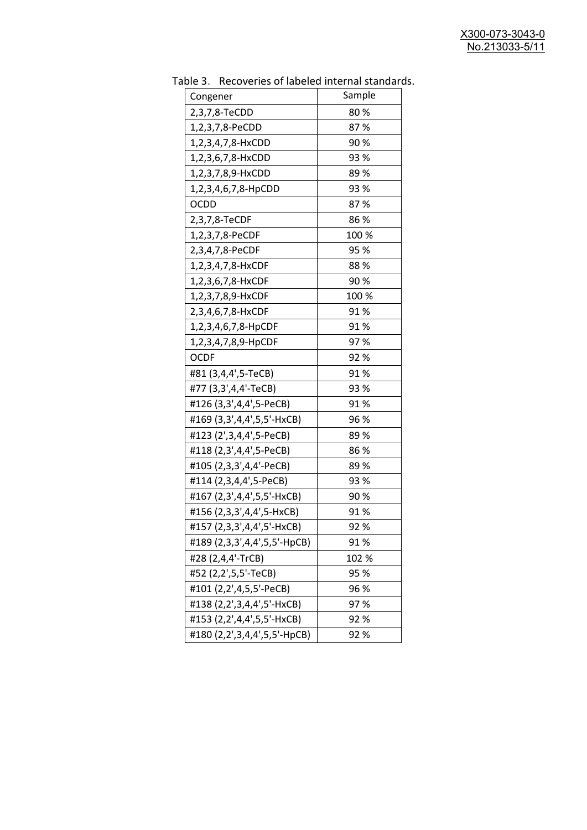| uwic J.<br>Recoveries of fabeled internal standar |        |
|---------------------------------------------------|--------|
| Congener                                          | Sample |
| 2,3,7,8-TeCDD                                     | 80%    |
| 1,2,3,7,8-PeCDD                                   | 87%    |
| 1,2,3,4,7,8-HxCDD                                 | 90%    |
| 1,2,3,6,7,8-HxCDD                                 | 93 %   |
| 1,2,3,7,8,9-HxCDD                                 | 89%    |
| 1,2,3,4,6,7,8-HpCDD                               | 93%    |
| <b>OCDD</b>                                       | 87%    |
| 2,3,7,8-TeCDF                                     | 86%    |
| 1,2,3,7,8-PeCDF                                   | 100 %  |
| 2,3,4,7,8-PeCDF                                   | 95 %   |
| 1,2,3,4,7,8-HxCDF                                 | 88%    |
| 1,2,3,6,7,8-HxCDF                                 | 90%    |
| 1,2,3,7,8,9-HxCDF                                 | 100 %  |
| 2,3,4,6,7,8-HxCDF                                 | 91%    |
| 1,2,3,4,6,7,8-HpCDF                               | 91%    |
| 1,2,3,4,7,8,9-HpCDF                               | 97%    |
| <b>OCDF</b>                                       | 92%    |
| #81 (3,4,4',5-TeCB)                               | 91%    |
| #77 (3,3',4,4'-TeCB)                              | 93 %   |
| #126 (3,3',4,4',5-PeCB)                           | 91%    |
| #169 (3,3',4,4',5,5'-HxCB)                        | 96 %   |
| #123 (2',3,4,4',5-PeCB)                           | 89 %   |
| #118 (2,3',4,4',5-PeCB)                           | 86%    |
| #105 (2,3,3',4,4'-PeCB)                           | 89%    |
| #114 (2,3,4,4',5-PeCB)                            | 93 %   |
| #167 (2,3',4,4',5,5'-HxCB)                        | 90%    |
| #156 (2,3,3',4,4',5-HxCB)                         | 91%    |
| #157 (2,3,3',4,4',5'-HxCB)                        | 92 %   |
| #189 (2,3,3',4,4',5,5'-HpCB)                      | 91%    |
| #28 (2,4,4'-TrCB)                                 | 102 %  |
| #52 (2,2',5,5'-TeCB)                              | 95 %   |
| #101 (2,2',4,5,5'-PeCB)                           | 96 %   |
| #138 (2,2',3,4,4',5'-HxCB)                        | 97%    |
| #153 (2,2',4,4',5,5'-HxCB)                        | 92%    |
| #180 (2,2',3,4,4',5,5'-HpCB)                      | 92%    |

Table 3. Recoveries of labeled internal standards.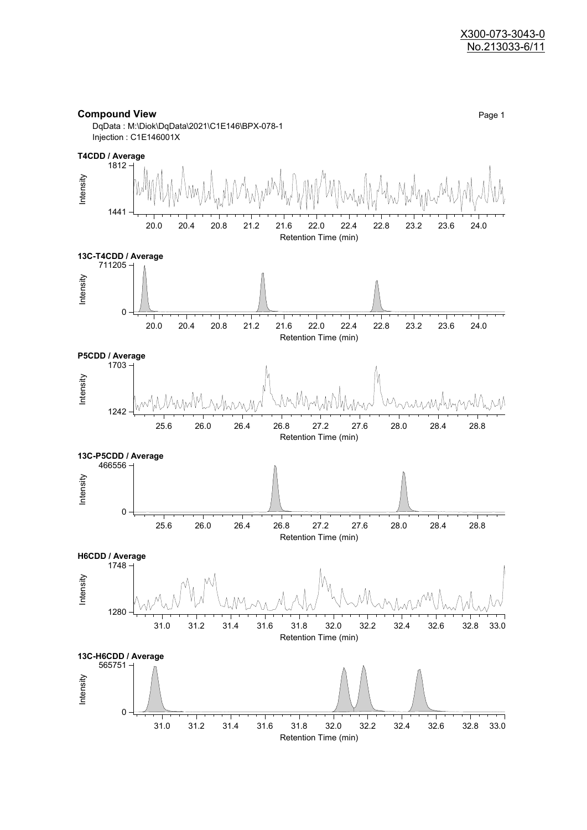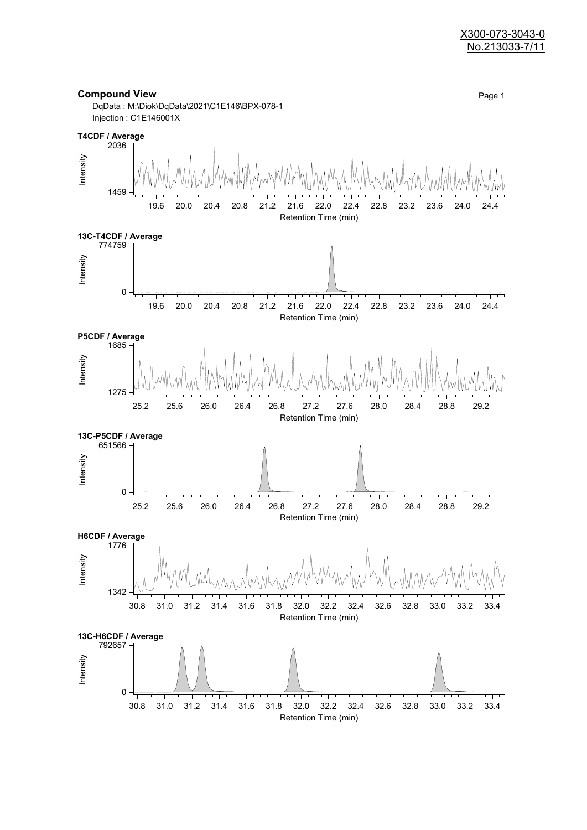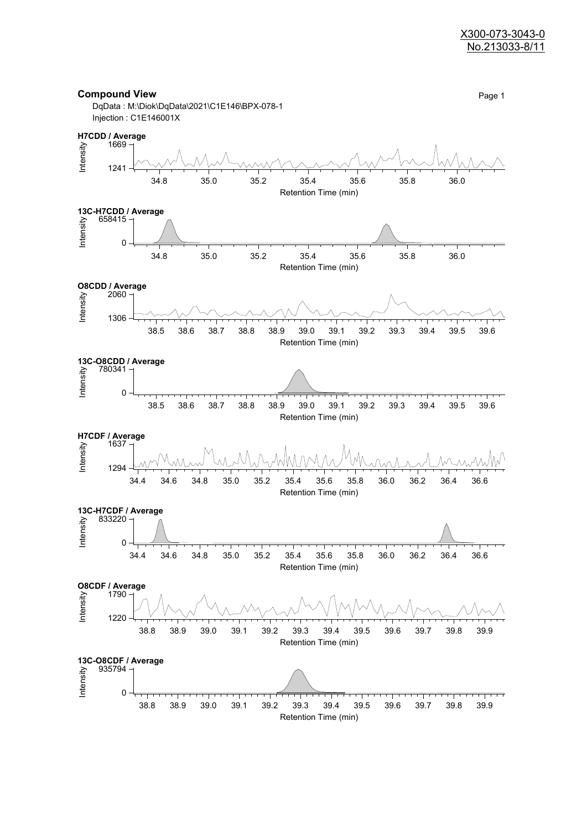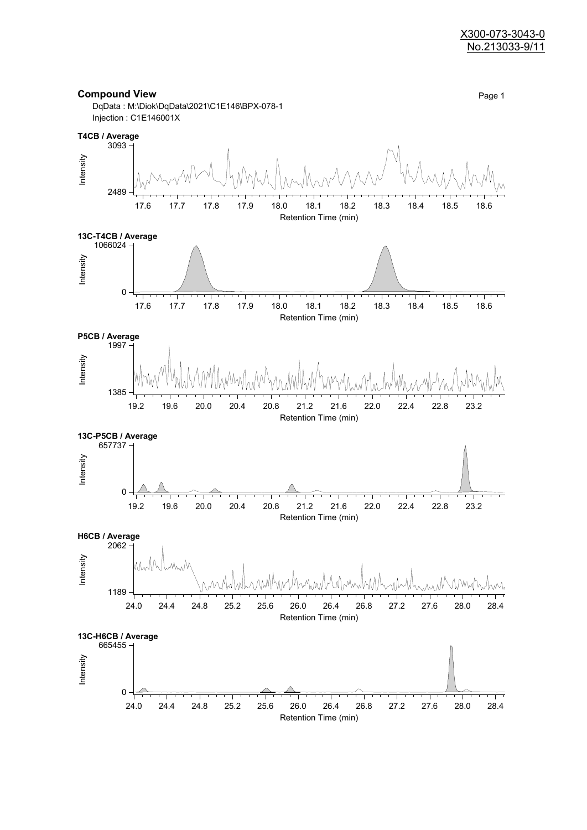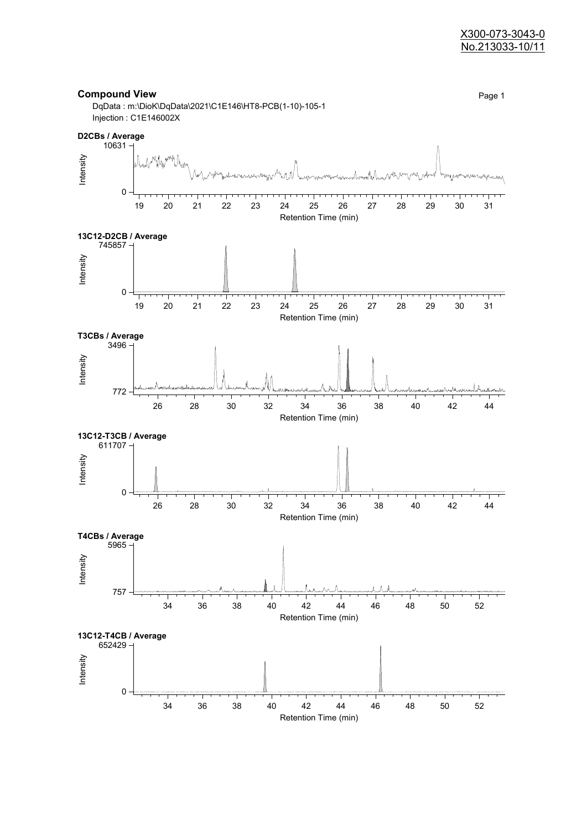